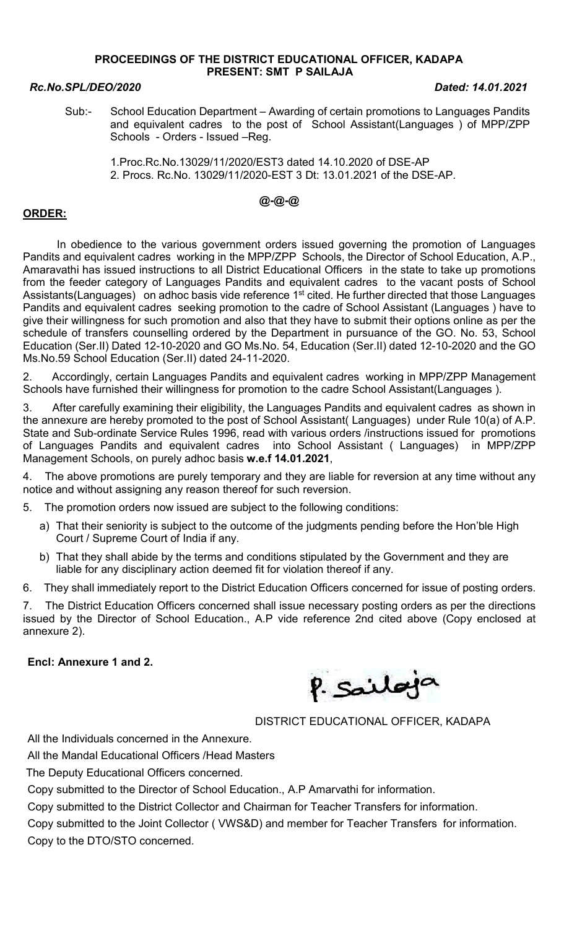### PROCEEDINGS OF THE DISTRICT EDUCATIONAL OFFICER, KADAPA PRESENT: SMT P SAILAJA

### Rc.No.SPL/DEO/2020 Dated: 14.01.2021

Sub:- School Education Department – Awarding of certain promotions to Languages Pandits and equivalent cadres to the post of School Assistant(Languages ) of MPP/ZPP Schools - Orders - Issued –Reg.

 1.Proc.Rc.No.13029/11/2020/EST3 dated 14.10.2020 of DSE-AP 2. Procs. Rc.No. 13029/11/2020-EST 3 Dt: 13.01.2021 of the DSE-AP.

# @-@-@

## ORDER:

 In obedience to the various government orders issued governing the promotion of Languages Pandits and equivalent cadres working in the MPP/ZPP Schools, the Director of School Education, A.P., Amaravathi has issued instructions to all District Educational Officers in the state to take up promotions from the feeder category of Languages Pandits and equivalent cadres to the vacant posts of School Assistants(Languages) on adhoc basis vide reference 1<sup>st</sup> cited. He further directed that those Languages Pandits and equivalent cadres seeking promotion to the cadre of School Assistant (Languages ) have to give their willingness for such promotion and also that they have to submit their options online as per the schedule of transfers counselling ordered by the Department in pursuance of the GO. No. 53, School Education (Ser.II) Dated 12-10-2020 and GO Ms.No. 54, Education (Ser.II) dated 12-10-2020 and the GO Ms.No.59 School Education (Ser.II) dated 24-11-2020.

2. Accordingly, certain Languages Pandits and equivalent cadres working in MPP/ZPP Management Schools have furnished their willingness for promotion to the cadre School Assistant(Languages ).

3. After carefully examining their eligibility, the Languages Pandits and equivalent cadres as shown in the annexure are hereby promoted to the post of School Assistant( Languages) under Rule 10(a) of A.P. State and Sub-ordinate Service Rules 1996, read with various orders /instructions issued for promotions of Languages Pandits and equivalent cadres into School Assistant ( Languages) in MPP/ZPP Management Schools, on purely adhoc basis w.e.f 14.01.2021,

4. The above promotions are purely temporary and they are liable for reversion at any time without any notice and without assigning any reason thereof for such reversion.

5. The promotion orders now issued are subject to the following conditions:

- a) That their seniority is subject to the outcome of the judgments pending before the Hon'ble High Court / Supreme Court of India if any.
- b) That they shall abide by the terms and conditions stipulated by the Government and they are liable for any disciplinary action deemed fit for violation thereof if any.

6. They shall immediately report to the District Education Officers concerned for issue of posting orders.

7. The District Education Officers concerned shall issue necessary posting orders as per the directions issued by the Director of School Education., A.P vide reference 2nd cited above (Copy enclosed at annexure 2).

### Encl: Annexure 1 and 2.



# DISTRICT EDUCATIONAL OFFICER, KADAPA

All the Individuals concerned in the Annexure.

All the Mandal Educational Officers /Head Masters

The Deputy Educational Officers concerned.

Copy submitted to the Director of School Education., A.P Amarvathi for information.

Copy submitted to the District Collector and Chairman for Teacher Transfers for information.

Copy submitted to the Joint Collector ( VWS&D) and member for Teacher Transfers for information. Copy to the DTO/STO concerned.